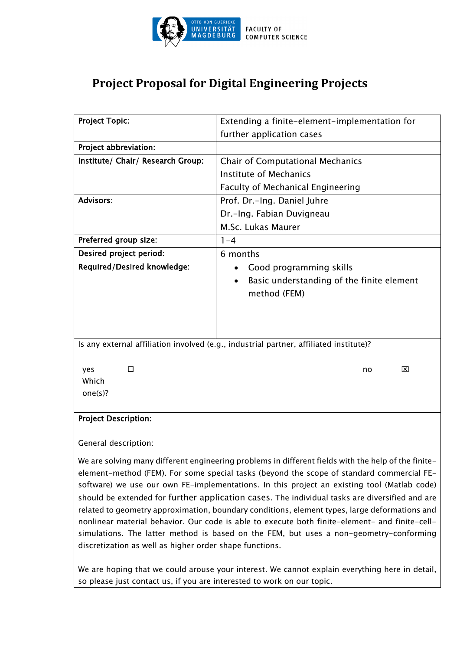

## **Project Proposal for Digital Engineering Projects**

| <b>Project Topic:</b>                                                                  | Extending a finite-element-implementation for                                                     |
|----------------------------------------------------------------------------------------|---------------------------------------------------------------------------------------------------|
|                                                                                        | further application cases                                                                         |
| Project abbreviation:                                                                  |                                                                                                   |
| Institute/ Chair/ Research Group:                                                      | <b>Chair of Computational Mechanics</b>                                                           |
|                                                                                        | <b>Institute of Mechanics</b>                                                                     |
|                                                                                        | Faculty of Mechanical Engineering                                                                 |
| <b>Advisors:</b>                                                                       | Prof. Dr.-Ing. Daniel Juhre                                                                       |
|                                                                                        | Dr.-Ing. Fabian Duvigneau                                                                         |
|                                                                                        | M.Sc. Lukas Maurer                                                                                |
| Preferred group size:                                                                  | $1 - 4$                                                                                           |
| Desired project period:                                                                | 6 months                                                                                          |
| Required/Desired knowledge:                                                            | Good programming skills<br>Basic understanding of the finite element<br>$\bullet$<br>method (FEM) |
| Is any external affiliation involved (e.g., industrial partner, affiliated institute)? |                                                                                                   |
| □<br>yes<br>Which<br>one(s)?                                                           | ⊠<br>no                                                                                           |
| <b>Project Description:</b>                                                            |                                                                                                   |

## General description:

We are solving many different engineering problems in different fields with the help of the finiteelement-method (FEM). For some special tasks (beyond the scope of standard commercial FEsoftware) we use our own FE-implementations. In this project an existing tool (Matlab code) should be extended for further application cases. The individual tasks are diversified and are related to geometry approximation, boundary conditions, element types, large deformations and nonlinear material behavior. Our code is able to execute both finite-element- and finite-cellsimulations. The latter method is based on the FEM, but uses a non-geometry-conforming discretization as well as higher order shape functions.

We are hoping that we could arouse your interest. We cannot explain everything here in detail, so please just contact us, if you are interested to work on our topic.